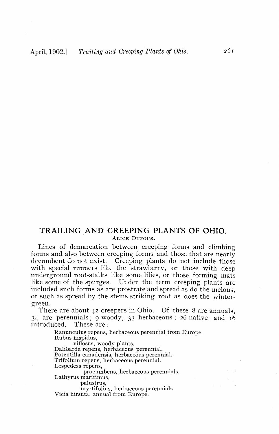## **TRAILING AND CREEPING PLANTS OF OHIO.** ALICE DUFOUR.

Lines of demarcation between creeping forms and climbing forms and also between creeping forms and those that are nearly decumbent do not exist. Creeping plants do not include those with special runners like the strawberry, or those with deep underground root-stalks like some lilies, or those forming mats like some of the spurges. Under the term creeping plants are included such forms as are prostrate and spread as do the melons, or such as spread by the stems striking root as does the wintergreen.

There are about 42 creepers in Ohio. Of these 8 are annuals, 34 are perennials; 9 woody, 33 herbaceous; 26 native, and 16 introduced. These are: introduced.

> Ranunculus repens, herbaceous perennial from Europe. Rubus hispidus, villosus, woody plants. Dalibarda repens, herbaceous perennial. Potentilla canadensis, herbaceous perennial. Trifolium repens, herbaceous perennial. Lespedeza repens, procumbens, herbaceous perennials. Lathyrus niaritimus, palustrus, myrtifolius, herbaceous perennials. Vicia hirsuta, annual from Europe.